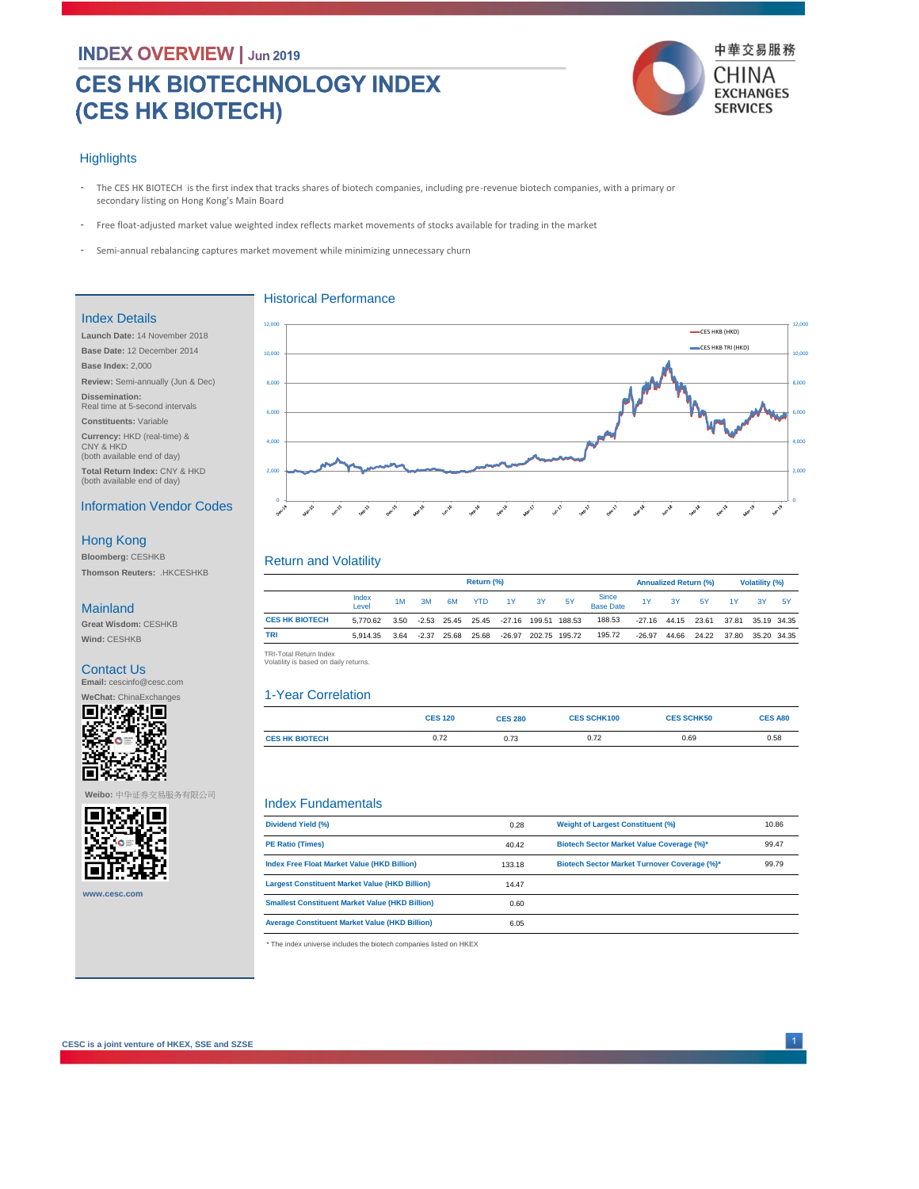# **CES HK BIOTECHNOLOGY INDEX** (CES HK BIOTECH)



### **Highlights**

- The CES HK BIOTECH is the first index that tracks shares of biotech companies, including pre-revenue biotech companies, with a primary or secondary listing on Hong Kong's Main Board -
- Free float-adjusted market value weighted index reflects market movements of stocks available for trading in the market -

Historical Performance

Semi-annual rebalancing captures market movement while minimizing unnecessary churn -

#### Index Details

**Launch Date:** 14 November 2018 **Base Date:** 12 December 2014 **Base Index:** 2,000 **Review:** Semi-annually (Jun & Dec) **Dissemination:**  Real time at 5-second intervals **Constituents:** Variable **Currency:** HKD (real-time) & CNY & HKD (both available end of day)

**Total Return Index:** CNY & HKD (both available end of day)

## Information Vendor Codes

# Hong Kong

**Bloomberg:** CESHKB **Thomson Reuters:** .HKCESHKB

#### Mainland

**Great Wisdom:** CESHKB **Wind:** CESHKB

#### Contact Us

**Email:** cescinfo@cesc.com



#### **Weibo:** 中华证券交易服务有限公司



**www.cesc.com**



# Return and Volatility

|                       | Return (%)     |      |    |               |            |                                             |    |                      | <b>Annualized Return (%)</b> |          |                | <b>Volatility (%)</b> |       |             |     |
|-----------------------|----------------|------|----|---------------|------------|---------------------------------------------|----|----------------------|------------------------------|----------|----------------|-----------------------|-------|-------------|-----|
|                       | Index<br>Level | 1M   | 3M | 6M            | <b>YTD</b> | 1Y                                          | 3Y | <b>5Y</b>            | Since<br>Base Date           | 1Y       | 3Y             | <b>5Y</b>             | 1Y    | 3Y          | -5Y |
| <b>CES HK BIOTECH</b> | 5.770.62       |      |    |               |            | 3.50 -2.53 25.45 25.45 -27.16 199.51 188.53 |    |                      | 188.53                       |          | $-27.16$ 44.15 | 23.61                 | 37.81 | 35.19 34.35 |     |
| <b>TRI</b>            | 5.914.35       | 3.64 |    | $-2.37$ 25.68 | 25.68      |                                             |    | -26.97 202.75 195.72 | 195.72                       | $-26.97$ | 44.66          | 24.22                 | 37.80 | 35.20 34.35 |     |

TRI-Total Return Index<br>Volatility is based on daily returns.

#### 1-Year Correlation

|                       | <b>CES 120</b> | <b>CES 280</b> | <b>CES SCHK100</b> | <b>CES SCHK50</b> | <b>CES A80</b> |
|-----------------------|----------------|----------------|--------------------|-------------------|----------------|
| <b>CES HK BIOTECH</b> | 0.72           | 0.73           | 0.72               | 0.69              | 0.58           |

#### Index Fundamentals

| Dividend Yield (%)                                     | 0.28   | <b>Weight of Largest Constituent (%)</b>     | 10.86 |
|--------------------------------------------------------|--------|----------------------------------------------|-------|
| <b>PE Ratio (Times)</b>                                | 40.42  | Biotech Sector Market Value Coverage (%)*    | 99.47 |
| <b>Index Free Float Market Value (HKD Billion)</b>     | 133.18 | Biotech Sector Market Turnover Coverage (%)* | 99.79 |
| <b>Largest Constituent Market Value (HKD Billion)</b>  | 14.47  |                                              |       |
| <b>Smallest Constituent Market Value (HKD Billion)</b> | 0.60   |                                              |       |
| <b>Average Constituent Market Value (HKD Billion)</b>  | 6.05   |                                              |       |

\* The index universe includes the biotech companies listed on HKEX